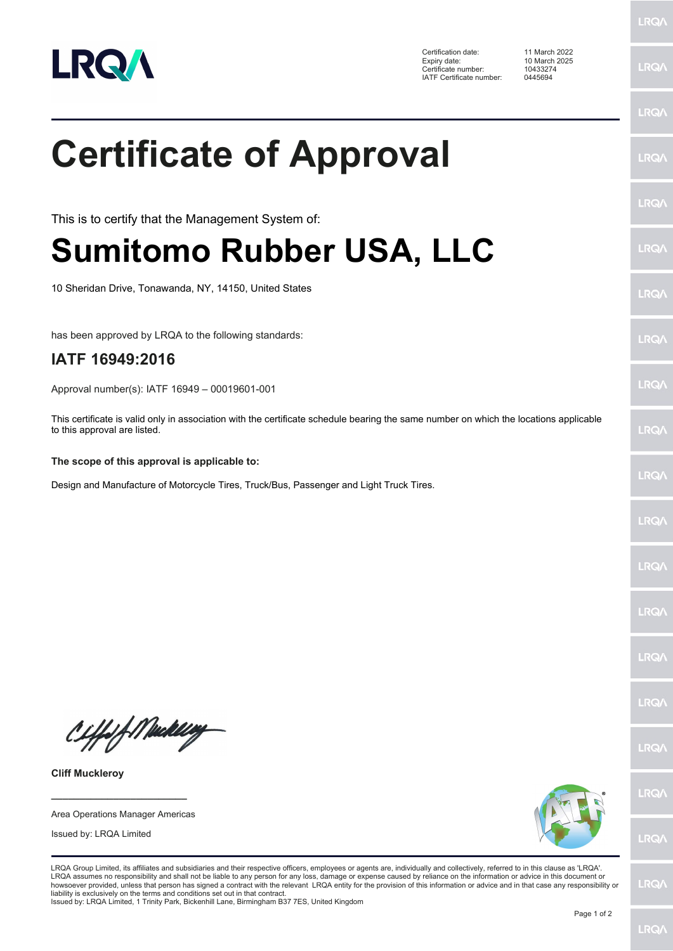

Certification date: 11 March 2022 Expiry date: 10 March 2025 Certificate number: 10433274 IATF Certificate number: 0445694

**LRQA** 

**LRQA** 

|                                                                                                                                                                                                                                                                                                                                                                                                                                                                                                                                                                                                                                                                                                                                     | <b>LRQA</b> |
|-------------------------------------------------------------------------------------------------------------------------------------------------------------------------------------------------------------------------------------------------------------------------------------------------------------------------------------------------------------------------------------------------------------------------------------------------------------------------------------------------------------------------------------------------------------------------------------------------------------------------------------------------------------------------------------------------------------------------------------|-------------|
| <b>Certificate of Approval</b>                                                                                                                                                                                                                                                                                                                                                                                                                                                                                                                                                                                                                                                                                                      | <b>LRQA</b> |
| This is to certify that the Management System of:                                                                                                                                                                                                                                                                                                                                                                                                                                                                                                                                                                                                                                                                                   | <b>LRQA</b> |
| <b>Sumitomo Rubber USA, LLC</b>                                                                                                                                                                                                                                                                                                                                                                                                                                                                                                                                                                                                                                                                                                     | <b>LRQA</b> |
| 10 Sheridan Drive, Tonawanda, NY, 14150, United States                                                                                                                                                                                                                                                                                                                                                                                                                                                                                                                                                                                                                                                                              | <b>LRQA</b> |
| has been approved by LRQA to the following standards:                                                                                                                                                                                                                                                                                                                                                                                                                                                                                                                                                                                                                                                                               | <b>LRQA</b> |
| IATF 16949:2016                                                                                                                                                                                                                                                                                                                                                                                                                                                                                                                                                                                                                                                                                                                     |             |
| Approval number(s): IATF 16949 - 00019601-001                                                                                                                                                                                                                                                                                                                                                                                                                                                                                                                                                                                                                                                                                       | <b>LRQA</b> |
| This certificate is valid only in association with the certificate schedule bearing the same number on which the locations applicable<br>to this approval are listed.                                                                                                                                                                                                                                                                                                                                                                                                                                                                                                                                                               | <b>LRQA</b> |
| The scope of this approval is applicable to:                                                                                                                                                                                                                                                                                                                                                                                                                                                                                                                                                                                                                                                                                        |             |
| Design and Manufacture of Motorcycle Tires, Truck/Bus, Passenger and Light Truck Tires.                                                                                                                                                                                                                                                                                                                                                                                                                                                                                                                                                                                                                                             | <b>LRQ/</b> |
|                                                                                                                                                                                                                                                                                                                                                                                                                                                                                                                                                                                                                                                                                                                                     | <b>LRQA</b> |
|                                                                                                                                                                                                                                                                                                                                                                                                                                                                                                                                                                                                                                                                                                                                     | <b>LRQA</b> |
|                                                                                                                                                                                                                                                                                                                                                                                                                                                                                                                                                                                                                                                                                                                                     | <b>LRQ/</b> |
|                                                                                                                                                                                                                                                                                                                                                                                                                                                                                                                                                                                                                                                                                                                                     | <b>LRQ/</b> |
|                                                                                                                                                                                                                                                                                                                                                                                                                                                                                                                                                                                                                                                                                                                                     | <b>LRQA</b> |
| Ciffof Meddley                                                                                                                                                                                                                                                                                                                                                                                                                                                                                                                                                                                                                                                                                                                      | <b>LRQ/</b> |
| <b>Cliff Muckleroy</b>                                                                                                                                                                                                                                                                                                                                                                                                                                                                                                                                                                                                                                                                                                              |             |
|                                                                                                                                                                                                                                                                                                                                                                                                                                                                                                                                                                                                                                                                                                                                     | <b>LRQA</b> |
| Area Operations Manager Americas<br>Issued by: LRQA Limited                                                                                                                                                                                                                                                                                                                                                                                                                                                                                                                                                                                                                                                                         | <b>LRQ/</b> |
| LRQA Group Limited, its affiliates and subsidiaries and their respective officers, employees or agents are, individually and collectively, referred to in this clause as 'LRQA'.<br>LRQA assumes no responsibility and shall not be liable to any person for any loss, damage or expense caused by reliance on the information or advice in this document or<br>howsoever provided, unless that person has signed a contract with the relevant LRQA entity for the provision of this information or advice and in that case any responsibility or<br>liability is exclusively on the terms and conditions set out in that contract.<br>Issued by: LRQA Limited, 1 Trinity Park, Bickenhill Lane, Birmingham B37 7ES, United Kingdom | <b>LRQA</b> |